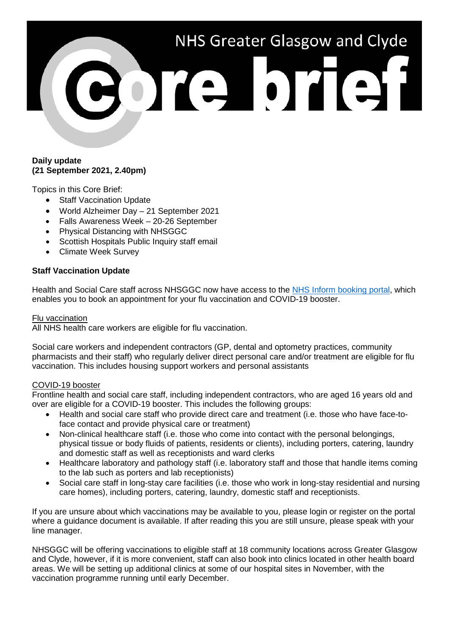# NHS Greater Glasgow and Clyde Porte brief

### **Daily update (21 September 2021, 2.40pm)**

Topics in this Core Brief:

- Staff Vaccination Update
- World Alzheimer Day 21 September 2021
- Falls Awareness Week 20-26 September
- Physical Distancing with NHSGGC
- Scottish Hospitals Public Inquiry staff email
- Climate Week Survey

## **Staff Vaccination Update**

Health and Social Care staff across NHSGGC now have access to the [NHS Inform booking portal,](https://vacs.nhs.scot/csp) which enables you to book an appointment for your flu vaccination and COVID-19 booster.

### Flu vaccination

All NHS health care workers are eligible for flu vaccination.

Social care workers and independent contractors (GP, dental and optometry practices, community pharmacists and their staff) who regularly deliver direct personal care and/or treatment are eligible for flu vaccination. This includes housing support workers and personal assistants

## COVID-19 booster

Frontline health and social care staff, including independent contractors, who are aged 16 years old and over are eligible for a COVID-19 booster. This includes the following groups:

- Health and social care staff who provide direct care and treatment (i.e. those who have face-toface contact and provide physical care or treatment)
- Non-clinical healthcare staff (i.e. those who come into contact with the personal belongings, physical tissue or body fluids of patients, residents or clients), including porters, catering, laundry and domestic staff as well as receptionists and ward clerks
- Healthcare laboratory and pathology staff (i.e. laboratory staff and those that handle items coming to the lab such as porters and lab receptionists)
- Social care staff in long-stay care facilities (i.e. those who work in long-stay residential and nursing care homes), including porters, catering, laundry, domestic staff and receptionists.

If you are unsure about which vaccinations may be available to you, please login or register on the portal where a guidance document is available. If after reading this you are still unsure, please speak with your line manager.

NHSGGC will be offering vaccinations to eligible staff at 18 community locations across Greater Glasgow and Clyde, however, if it is more convenient, staff can also book into clinics located in other health board areas. We will be setting up additional clinics at some of our hospital sites in November, with the vaccination programme running until early December.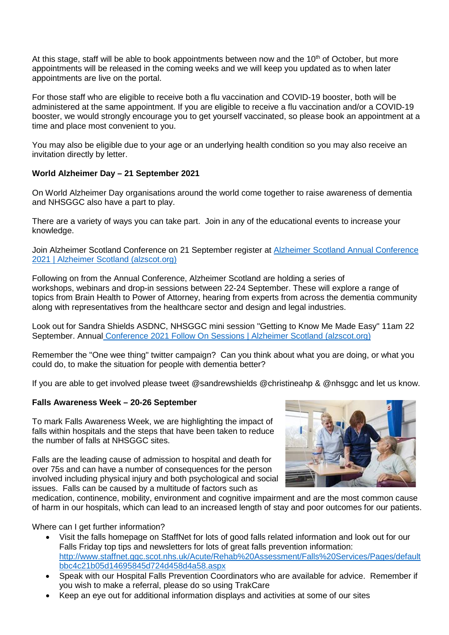At this stage, staff will be able to book appointments between now and the  $10<sup>th</sup>$  of October, but more appointments will be released in the coming weeks and we will keep you updated as to when later appointments are live on the portal.

For those staff who are eligible to receive both a flu vaccination and COVID-19 booster, both will be administered at the same appointment. If you are eligible to receive a flu vaccination and/or a COVID-19 booster, we would strongly encourage you to get yourself vaccinated, so please book an appointment at a time and place most convenient to you.

You may also be eligible due to your age or an underlying health condition so you may also receive an invitation directly by letter.

# **World Alzheimer Day – 21 September 2021**

On World Alzheimer Day organisations around the world come together to raise awareness of dementia and NHSGGC also have a part to play.

There are a variety of ways you can take part. Join in any of the educational events to increase your knowledge.

Join Alzheimer Scotland Conference on 21 September register at [Alzheimer Scotland Annual Conference](https://www.alzscot.org/our-work/events/alzheimer-scotland-annual-conference-2021)  [2021 | Alzheimer Scotland \(alzscot.org\)](https://www.alzscot.org/our-work/events/alzheimer-scotland-annual-conference-2021)

Following on from the Annual Conference, Alzheimer Scotland are holding a series of workshops, webinars and drop-in sessions between 22-24 September. These will explore a range of topics from Brain Health to Power of Attorney, hearing from experts from across the dementia community along with representatives from the healthcare sector and design and legal industries.

Look out for Sandra Shields ASDNC, NHSGGC mini session "Getting to Know Me Made Easy" 11am 22 September. Annual [Conference 2021 Follow On Sessions | Alzheimer Scotland \(alzscot.org\)](https://www.alzscot.org/annual-conference-2021-follow-on-sessions)

Remember the "One wee thing" twitter campaign? Can you think about what you are doing, or what you could do, to make the situation for people with dementia better?

If you are able to get involved please tweet @sandrewshields @christineahp & @nhsggc and let us know.

## **Falls Awareness Week – 20-26 September**

To mark Falls Awareness Week, we are highlighting the impact of falls within hospitals and the steps that have been taken to reduce the number of falls at NHSGGC sites.

Falls are the leading cause of admission to hospital and death for over 75s and can have a number of consequences for the person involved including physical injury and both psychological and social issues. Falls can be caused by a multitude of factors such as



medication, continence, mobility, environment and cognitive impairment and are the most common cause of harm in our hospitals, which can lead to an increased length of stay and poor outcomes for our patients.

Where can I get further information?

- Visit the falls homepage on StaffNet for lots of good falls related information and look out for our Falls Friday top tips and newsletters for lots of great falls prevention information: [http://www.staffnet.ggc.scot.nhs.uk/Acute/Rehab%20Assessment/Falls%20Services/Pages/default](http://www.staffnet.ggc.scot.nhs.uk/Acute/Rehab%20Assessment/Falls%20Services/Pages/defaultbbc4c21b05d14695845d724d458d4a58.aspx) [bbc4c21b05d14695845d724d458d4a58.aspx](http://www.staffnet.ggc.scot.nhs.uk/Acute/Rehab%20Assessment/Falls%20Services/Pages/defaultbbc4c21b05d14695845d724d458d4a58.aspx)
- Speak with our Hospital Falls Prevention Coordinators who are available for advice. Remember if you wish to make a referral, please do so using TrakCare
- Keep an eye out for additional information displays and activities at some of our sites